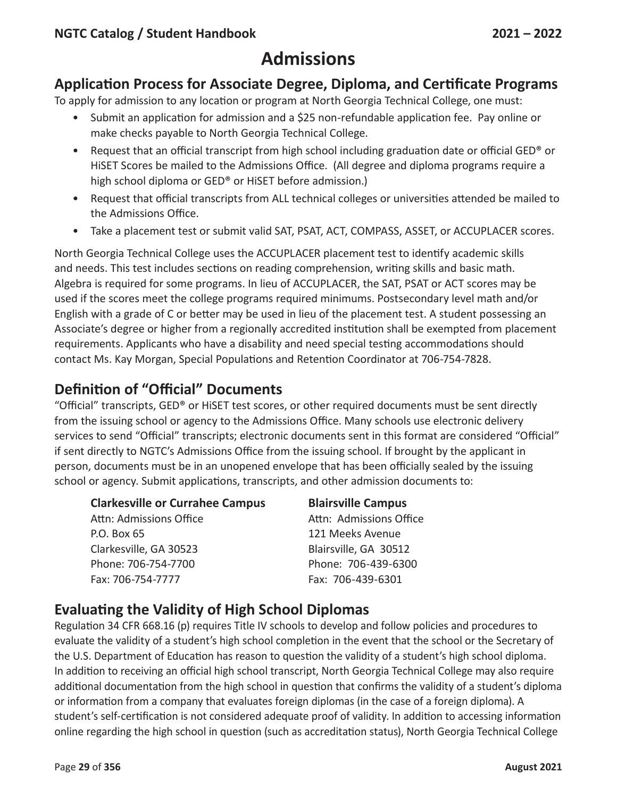## **Application Process for Associate Degree, Diploma, and Certificate Programs**

To apply for admission to any location or program at North Georgia Technical College, one must:

- Submit an application for admission and a \$25 non-refundable application fee. Pay online or make checks payable to North Georgia Technical College.
- Request that an official transcript from high school including graduation date or official GED® or HiSET Scores be mailed to the Admissions Office. (All degree and diploma programs require a high school diploma or GED® or HiSET before admission.)
- Request that official transcripts from ALL technical colleges or universities attended be mailed to the Admissions Office.
- Take a placement test or submit valid SAT, PSAT, ACT, COMPASS, ASSET, or ACCUPLACER scores.

North Georgia Technical College uses the ACCUPLACER placement test to identify academic skills and needs. This test includes sections on reading comprehension, writing skills and basic math. Algebra is required for some programs. In lieu of ACCUPLACER, the SAT, PSAT or ACT scores may be used if the scores meet the college programs required minimums. Postsecondary level math and/or English with a grade of C or better may be used in lieu of the placement test. A student possessing an Associate's degree or higher from a regionally accredited institution shall be exempted from placement requirements. Applicants who have a disability and need special testing accommodations should contact Ms. Kay Morgan, Special Populations and Retention Coordinator at 706-754-7828.

# **Definition of "Official" Documents**

"Official" transcripts, GED® or HiSET test scores, or other required documents must be sent directly from the issuing school or agency to the Admissions Office. Many schools use electronic delivery services to send "Official" transcripts; electronic documents sent in this format are considered "Official" if sent directly to NGTC's Admissions Office from the issuing school. If brought by the applicant in person, documents must be in an unopened envelope that has been officially sealed by the issuing school or agency. Submit applications, transcripts, and other admission documents to:

#### **Clarkesville or Currahee Campus Blairsville Campus**

Attn: Admissions Office Attn: Admissions Office P.O. Box 65 121 Meeks Avenue Clarkesville, GA 30523 Blairsville, GA 30512 Phone: 706-754-7700 Phone: 706-439-6300 Fax: 706-754-7777 Fax: 706-439-6301

# **Evaluating the Validity of High School Diplomas**

Regulation 34 CFR 668.16 (p) requires Title IV schools to develop and follow policies and procedures to evaluate the validity of a student's high school completion in the event that the school or the Secretary of the U.S. Department of Education has reason to question the validity of a student's high school diploma. In addition to receiving an official high school transcript, North Georgia Technical College may also require additional documentation from the high school in question that confirms the validity of a student's diploma or information from a company that evaluates foreign diplomas (in the case of a foreign diploma). A student's self-certification is not considered adequate proof of validity. In addition to accessing information online regarding the high school in question (such as accreditation status), North Georgia Technical College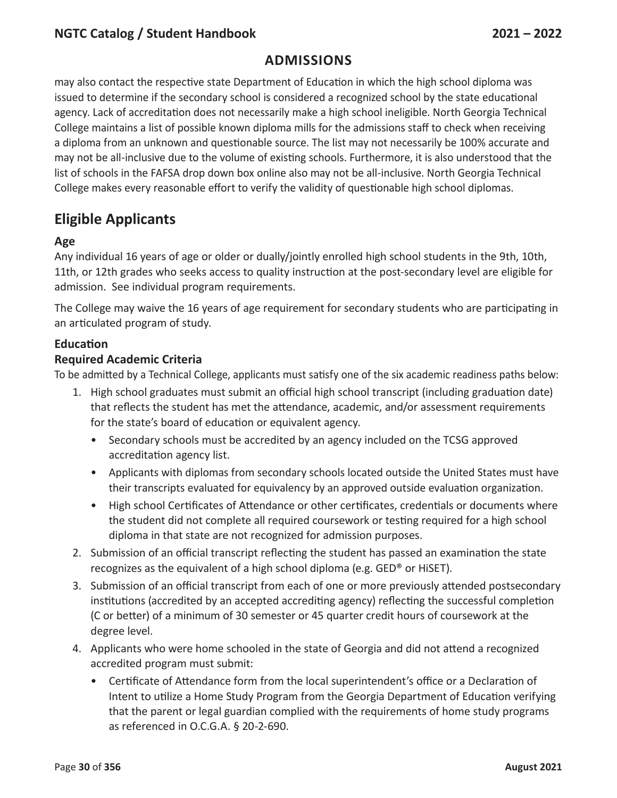### **Admissions**

may also contact the respective state Department of Education in which the high school diploma was issued to determine if the secondary school is considered a recognized school by the state educational agency. Lack of accreditation does not necessarily make a high school ineligible. North Georgia Technical College maintains a list of possible known diploma mills for the admissions staff to check when receiving a diploma from an unknown and questionable source. The list may not necessarily be 100% accurate and may not be all-inclusive due to the volume of existing schools. Furthermore, it is also understood that the list of schools in the FAFSA drop down box online also may not be all-inclusive. North Georgia Technical College makes every reasonable effort to verify the validity of questionable high school diplomas.

# **Eligible Applicants**

#### **Age**

Any individual 16 years of age or older or dually/jointly enrolled high school students in the 9th, 10th, 11th, or 12th grades who seeks access to quality instruction at the post-secondary level are eligible for admission. See individual program requirements.

The College may waive the 16 years of age requirement for secondary students who are participating in an articulated program of study.

#### **Education**

#### **Required Academic Criteria**

To be admitted by a Technical College, applicants must satisfy one of the six academic readiness paths below:

- 1. High school graduates must submit an official high school transcript (including graduation date) that reflects the student has met the attendance, academic, and/or assessment requirements for the state's board of education or equivalent agency.
	- Secondary schools must be accredited by an agency included on the TCSG approved accreditation agency list.
	- Applicants with diplomas from secondary schools located outside the United States must have their transcripts evaluated for equivalency by an approved outside evaluation organization.
	- High school Certificates of Attendance or other certificates, credentials or documents where the student did not complete all required coursework or testing required for a high school diploma in that state are not recognized for admission purposes.
- 2. Submission of an official transcript reflecting the student has passed an examination the state recognizes as the equivalent of a high school diploma (e.g. GED® or HiSET).
- 3. Submission of an official transcript from each of one or more previously attended postsecondary institutions (accredited by an accepted accrediting agency) reflecting the successful completion (C or better) of a minimum of 30 semester or 45 quarter credit hours of coursework at the degree level.
- 4. Applicants who were home schooled in the state of Georgia and did not attend a recognized accredited program must submit:
	- Certificate of Attendance form from the local superintendent's office or a Declaration of Intent to utilize a Home Study Program from the Georgia Department of Education verifying that the parent or legal guardian complied with the requirements of home study programs as referenced in O.C.G.A. § 20-2-690.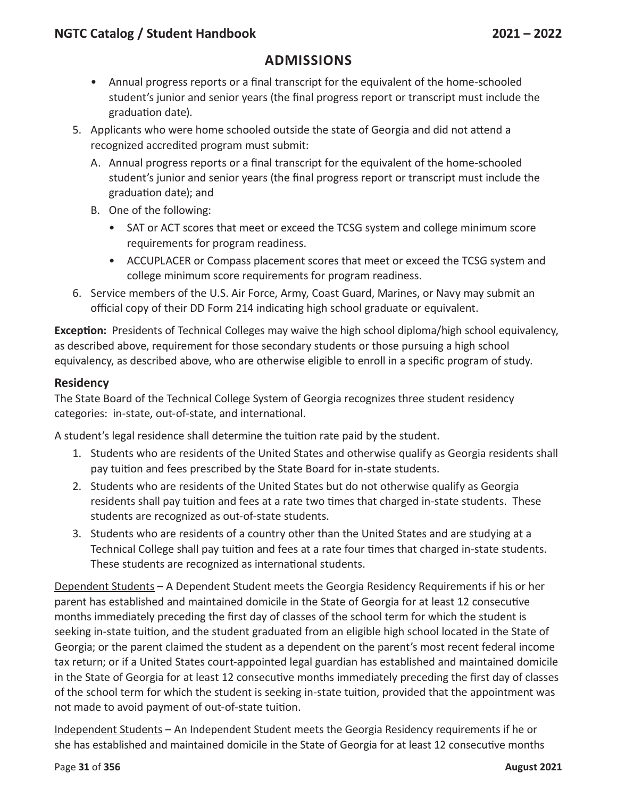### **Admissions**

- Annual progress reports or a final transcript for the equivalent of the home-schooled student's junior and senior years (the final progress report or transcript must include the graduation date).
- 5. Applicants who were home schooled outside the state of Georgia and did not attend a recognized accredited program must submit:
	- A. Annual progress reports or a final transcript for the equivalent of the home-schooled student's junior and senior years (the final progress report or transcript must include the graduation date); and
	- B. One of the following:
		- SAT or ACT scores that meet or exceed the TCSG system and college minimum score requirements for program readiness.
		- ACCUPLACER or Compass placement scores that meet or exceed the TCSG system and college minimum score requirements for program readiness.
- 6. Service members of the U.S. Air Force, Army, Coast Guard, Marines, or Navy may submit an official copy of their DD Form 214 indicating high school graduate or equivalent.

**Exception:** Presidents of Technical Colleges may waive the high school diploma/high school equivalency, as described above, requirement for those secondary students or those pursuing a high school equivalency, as described above, who are otherwise eligible to enroll in a specific program of study.

#### **Residency**

The State Board of the Technical College System of Georgia recognizes three student residency categories: in-state, out-of-state, and international.

A student's legal residence shall determine the tuition rate paid by the student.

- 1. Students who are residents of the United States and otherwise qualify as Georgia residents shall pay tuition and fees prescribed by the State Board for in-state students.
- 2. Students who are residents of the United States but do not otherwise qualify as Georgia residents shall pay tuition and fees at a rate two times that charged in-state students. These students are recognized as out-of-state students.
- 3. Students who are residents of a country other than the United States and are studying at a Technical College shall pay tuition and fees at a rate four times that charged in-state students. These students are recognized as international students.

Dependent Students – A Dependent Student meets the Georgia Residency Requirements if his or her parent has established and maintained domicile in the State of Georgia for at least 12 consecutive months immediately preceding the first day of classes of the school term for which the student is seeking in-state tuition, and the student graduated from an eligible high school located in the State of Georgia; or the parent claimed the student as a dependent on the parent's most recent federal income tax return; or if a United States court-appointed legal guardian has established and maintained domicile in the State of Georgia for at least 12 consecutive months immediately preceding the first day of classes of the school term for which the student is seeking in-state tuition, provided that the appointment was not made to avoid payment of out-of-state tuition.

Independent Students – An Independent Student meets the Georgia Residency requirements if he or she has established and maintained domicile in the State of Georgia for at least 12 consecutive months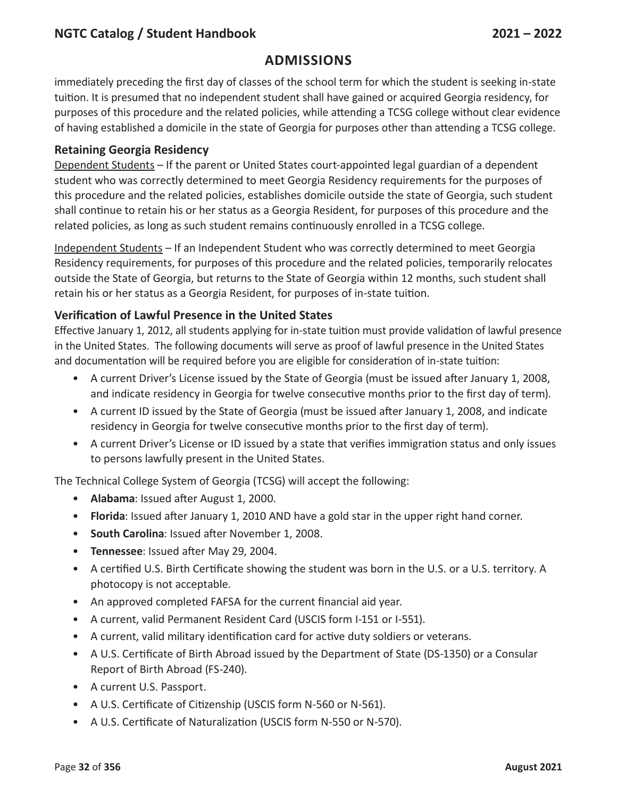### **Admissions**

immediately preceding the first day of classes of the school term for which the student is seeking in-state tuition. It is presumed that no independent student shall have gained or acquired Georgia residency, for purposes of this procedure and the related policies, while attending a TCSG college without clear evidence of having established a domicile in the state of Georgia for purposes other than attending a TCSG college.

#### **Retaining Georgia Residency**

Dependent Students – If the parent or United States court-appointed legal guardian of a dependent student who was correctly determined to meet Georgia Residency requirements for the purposes of this procedure and the related policies, establishes domicile outside the state of Georgia, such student shall continue to retain his or her status as a Georgia Resident, for purposes of this procedure and the related policies, as long as such student remains continuously enrolled in a TCSG college.

Independent Students – If an Independent Student who was correctly determined to meet Georgia Residency requirements, for purposes of this procedure and the related policies, temporarily relocates outside the State of Georgia, but returns to the State of Georgia within 12 months, such student shall retain his or her status as a Georgia Resident, for purposes of in-state tuition.

#### **Verification of Lawful Presence in the United States**

Effective January 1, 2012, all students applying for in-state tuition must provide validation of lawful presence in the United States. The following documents will serve as proof of lawful presence in the United States and documentation will be required before you are eligible for consideration of in-state tuition:

- A current Driver's License issued by the State of Georgia (must be issued after January 1, 2008, and indicate residency in Georgia for twelve consecutive months prior to the first day of term).
- A current ID issued by the State of Georgia (must be issued after January 1, 2008, and indicate residency in Georgia for twelve consecutive months prior to the first day of term).
- A current Driver's License or ID issued by a state that verifies immigration status and only issues to persons lawfully present in the United States.

The Technical College System of Georgia (TCSG) will accept the following:

- **Alabama**: Issued after August 1, 2000.
- **Florida**: Issued after January 1, 2010 AND have a gold star in the upper right hand corner.
- **South Carolina**: Issued after November 1, 2008.
- **Tennessee**: Issued after May 29, 2004.
- A certified U.S. Birth Certificate showing the student was born in the U.S. or a U.S. territory. A photocopy is not acceptable.
- An approved completed FAFSA for the current financial aid year.
- A current, valid Permanent Resident Card (USCIS form I-151 or I-551).
- A current, valid military identification card for active duty soldiers or veterans.
- A U.S. Certificate of Birth Abroad issued by the Department of State (DS-1350) or a Consular Report of Birth Abroad (FS-240).
- A current U.S. Passport.
- A U.S. Certificate of Citizenship (USCIS form N-560 or N-561).
- A U.S. Certificate of Naturalization (USCIS form N-550 or N-570).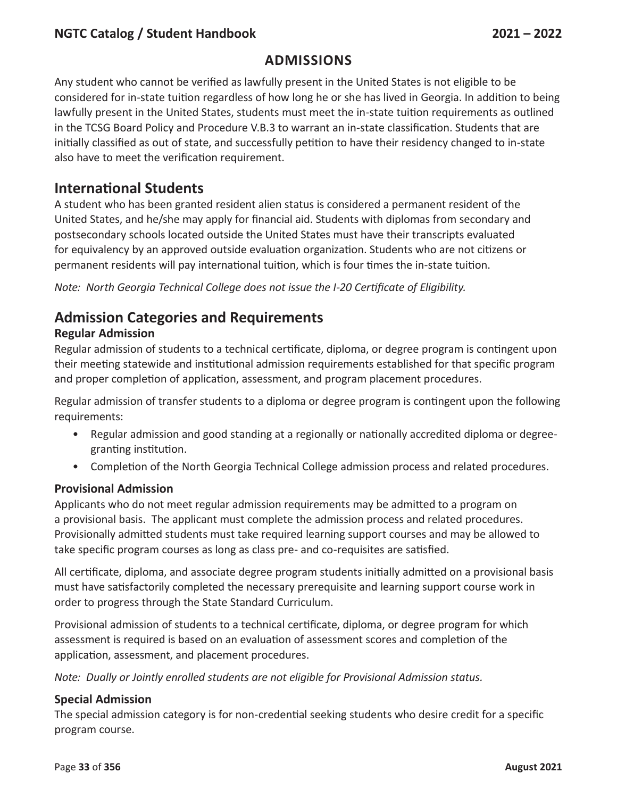#### **Admissions**

Any student who cannot be verified as lawfully present in the United States is not eligible to be considered for in-state tuition regardless of how long he or she has lived in Georgia. In addition to being lawfully present in the United States, students must meet the in-state tuition requirements as outlined in the TCSG Board Policy and Procedure V.B.3 to warrant an in-state classification. Students that are initially classified as out of state, and successfully petition to have their residency changed to in-state also have to meet the verification requirement.

### **International Students**

A student who has been granted resident alien status is considered a permanent resident of the United States, and he/she may apply for financial aid. Students with diplomas from secondary and postsecondary schools located outside the United States must have their transcripts evaluated for equivalency by an approved outside evaluation organization. Students who are not citizens or permanent residents will pay international tuition, which is four times the in-state tuition.

*Note: North Georgia Technical College does not issue the I-20 Certificate of Eligibility.*

### **Admission Categories and Requirements**

#### **Regular Admission**

Regular admission of students to a technical certificate, diploma, or degree program is contingent upon their meeting statewide and institutional admission requirements established for that specific program and proper completion of application, assessment, and program placement procedures.

Regular admission of transfer students to a diploma or degree program is contingent upon the following requirements:

- Regular admission and good standing at a regionally or nationally accredited diploma or degreegranting institution.
- Completion of the North Georgia Technical College admission process and related procedures.

#### **Provisional Admission**

Applicants who do not meet regular admission requirements may be admitted to a program on a provisional basis. The applicant must complete the admission process and related procedures. Provisionally admitted students must take required learning support courses and may be allowed to take specific program courses as long as class pre- and co-requisites are satisfied.

All certificate, diploma, and associate degree program students initially admitted on a provisional basis must have satisfactorily completed the necessary prerequisite and learning support course work in order to progress through the State Standard Curriculum.

Provisional admission of students to a technical certificate, diploma, or degree program for which assessment is required is based on an evaluation of assessment scores and completion of the application, assessment, and placement procedures.

*Note: Dually or Jointly enrolled students are not eligible for Provisional Admission status.*

#### **Special Admission**

The special admission category is for non-credential seeking students who desire credit for a specific program course.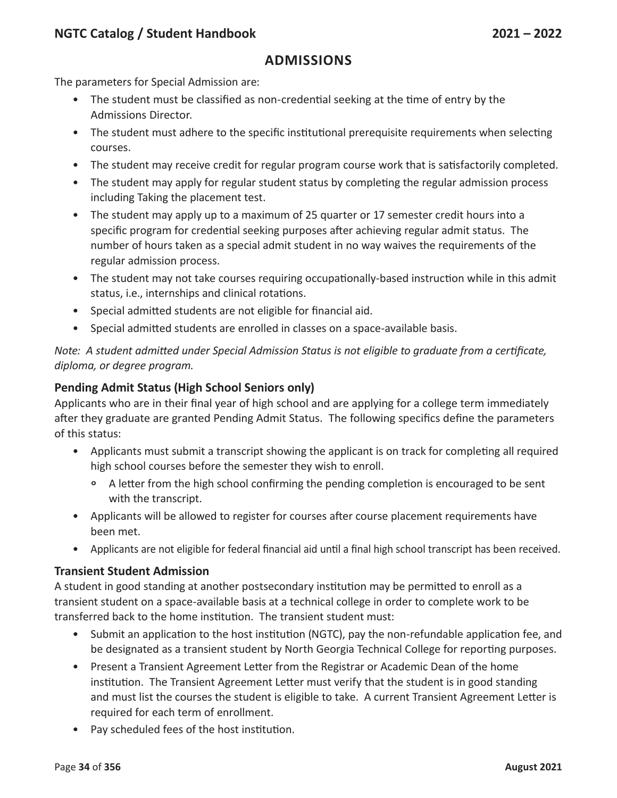#### **Admissions**

The parameters for Special Admission are:

- The student must be classified as non-credential seeking at the time of entry by the Admissions Director.
- The student must adhere to the specific institutional prerequisite requirements when selecting courses.
- The student may receive credit for regular program course work that is satisfactorily completed.
- The student may apply for regular student status by completing the regular admission process including Taking the placement test.
- The student may apply up to a maximum of 25 quarter or 17 semester credit hours into a specific program for credential seeking purposes after achieving regular admit status. The number of hours taken as a special admit student in no way waives the requirements of the regular admission process.
- The student may not take courses requiring occupationally-based instruction while in this admit status, i.e., internships and clinical rotations.
- Special admitted students are not eligible for financial aid.
- Special admitted students are enrolled in classes on a space-available basis.

*Note: A student admitted under Special Admission Status is not eligible to graduate from a certificate, diploma, or degree program.*

#### **Pending Admit Status (High School Seniors only)**

Applicants who are in their final year of high school and are applying for a college term immediately after they graduate are granted Pending Admit Status. The following specifics define the parameters of this status:

- Applicants must submit a transcript showing the applicant is on track for completing all required high school courses before the semester they wish to enroll.
	- ° A letter from the high school confirming the pending completion is encouraged to be sent with the transcript.
- Applicants will be allowed to register for courses after course placement requirements have been met.
- Applicants are not eligible for federal financial aid until a final high school transcript has been received.

#### **Transient Student Admission**

A student in good standing at another postsecondary institution may be permitted to enroll as a transient student on a space-available basis at a technical college in order to complete work to be transferred back to the home institution. The transient student must:

- Submit an application to the host institution (NGTC), pay the non-refundable application fee, and be designated as a transient student by North Georgia Technical College for reporting purposes.
- Present a Transient Agreement Letter from the Registrar or Academic Dean of the home institution. The Transient Agreement Letter must verify that the student is in good standing and must list the courses the student is eligible to take. A current Transient Agreement Letter is required for each term of enrollment.
- Pay scheduled fees of the host institution.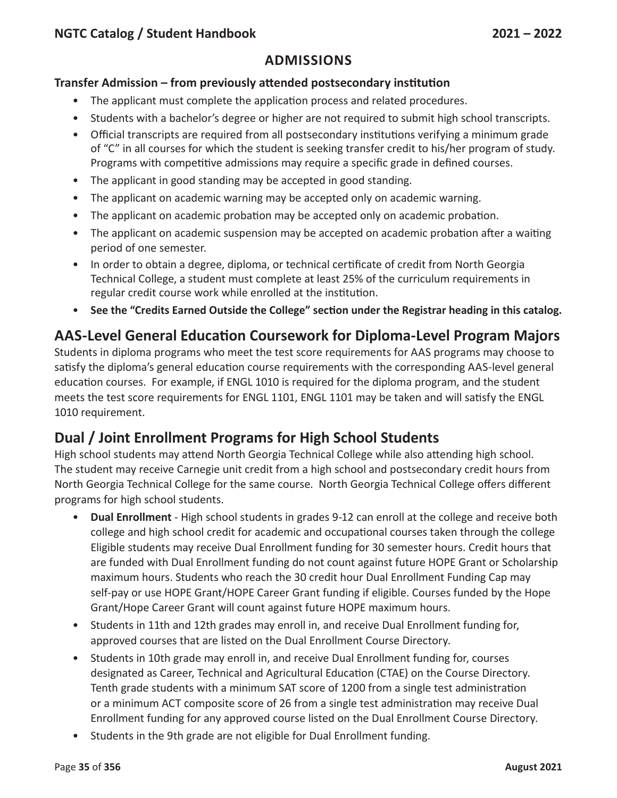#### **Transfer Admission – from previously attended postsecondary institution**

- The applicant must complete the application process and related procedures.
- Students with a bachelor's degree or higher are not required to submit high school transcripts.
- Official transcripts are required from all postsecondary institutions verifying a minimum grade of "C" in all courses for which the student is seeking transfer credit to his/her program of study. Programs with competitive admissions may require a specific grade in defined courses.
- The applicant in good standing may be accepted in good standing.
- The applicant on academic warning may be accepted only on academic warning.
- The applicant on academic probation may be accepted only on academic probation.
- The applicant on academic suspension may be accepted on academic probation after a waiting period of one semester.
- In order to obtain a degree, diploma, or technical certificate of credit from North Georgia Technical College, a student must complete at least 25% of the curriculum requirements in regular credit course work while enrolled at the institution.
- **See the "Credits Earned Outside the College" section under the Registrar heading in this catalog.**

# **AAS-Level General Education Coursework for Diploma-Level Program Majors**

Students in diploma programs who meet the test score requirements for AAS programs may choose to satisfy the diploma's general education course requirements with the corresponding AAS-level general education courses. For example, if ENGL 1010 is required for the diploma program, and the student meets the test score requirements for ENGL 1101, ENGL 1101 may be taken and will satisfy the ENGL 1010 requirement.

# **Dual / Joint Enrollment Programs for High School Students**

High school students may attend North Georgia Technical College while also attending high school. The student may receive Carnegie unit credit from a high school and postsecondary credit hours from North Georgia Technical College for the same course. North Georgia Technical College offers different programs for high school students.

- **Dual Enrollment** High school students in grades 9-12 can enroll at the college and receive both college and high school credit for academic and occupational courses taken through the college Eligible students may receive Dual Enrollment funding for 30 semester hours. Credit hours that are funded with Dual Enrollment funding do not count against future HOPE Grant or Scholarship maximum hours. Students who reach the 30 credit hour Dual Enrollment Funding Cap may self-pay or use HOPE Grant/HOPE Career Grant funding if eligible. Courses funded by the Hope Grant/Hope Career Grant will count against future HOPE maximum hours.
- Students in 11th and 12th grades may enroll in, and receive Dual Enrollment funding for, approved courses that are listed on the Dual Enrollment Course Directory.
- Students in 10th grade may enroll in, and receive Dual Enrollment funding for, courses designated as Career, Technical and Agricultural Education (CTAE) on the Course Directory. Tenth grade students with a minimum SAT score of 1200 from a single test administration or a minimum ACT composite score of 26 from a single test administration may receive Dual Enrollment funding for any approved course listed on the Dual Enrollment Course Directory.
- Students in the 9th grade are not eligible for Dual Enrollment funding.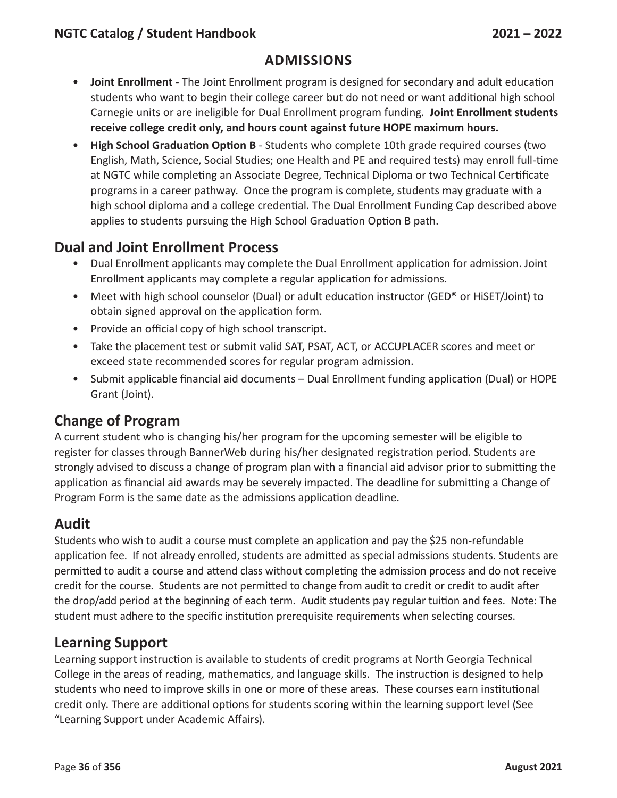- **Joint Enrollment** The Joint Enrollment program is designed for secondary and adult education students who want to begin their college career but do not need or want additional high school Carnegie units or are ineligible for Dual Enrollment program funding. **Joint Enrollment students receive college credit only, and hours count against future HOPE maximum hours.**
- **High School Graduation Option B** Students who complete 10th grade required courses (two English, Math, Science, Social Studies; one Health and PE and required tests) may enroll full-time at NGTC while completing an Associate Degree, Technical Diploma or two Technical Certificate programs in a career pathway. Once the program is complete, students may graduate with a high school diploma and a college credential. The Dual Enrollment Funding Cap described above applies to students pursuing the High School Graduation Option B path.

## **Dual and Joint Enrollment Process**

- Dual Enrollment applicants may complete the Dual Enrollment application for admission. Joint Enrollment applicants may complete a regular application for admissions.
- Meet with high school counselor (Dual) or adult education instructor (GED® or HiSET/Joint) to obtain signed approval on the application form.
- Provide an official copy of high school transcript.
- Take the placement test or submit valid SAT, PSAT, ACT, or ACCUPLACER scores and meet or exceed state recommended scores for regular program admission.
- Submit applicable financial aid documents Dual Enrollment funding application (Dual) or HOPE Grant (Joint).

## **Change of Program**

A current student who is changing his/her program for the upcoming semester will be eligible to register for classes through BannerWeb during his/her designated registration period. Students are strongly advised to discuss a change of program plan with a financial aid advisor prior to submitting the application as financial aid awards may be severely impacted. The deadline for submitting a Change of Program Form is the same date as the admissions application deadline.

## **Audit**

Students who wish to audit a course must complete an application and pay the \$25 non-refundable application fee. If not already enrolled, students are admitted as special admissions students. Students are permitted to audit a course and attend class without completing the admission process and do not receive credit for the course. Students are not permitted to change from audit to credit or credit to audit after the drop/add period at the beginning of each term. Audit students pay regular tuition and fees. Note: The student must adhere to the specific institution prerequisite requirements when selecting courses.

## **Learning Support**

Learning support instruction is available to students of credit programs at North Georgia Technical College in the areas of reading, mathematics, and language skills. The instruction is designed to help students who need to improve skills in one or more of these areas. These courses earn institutional credit only. There are additional options for students scoring within the learning support level (See "Learning Support under Academic Affairs).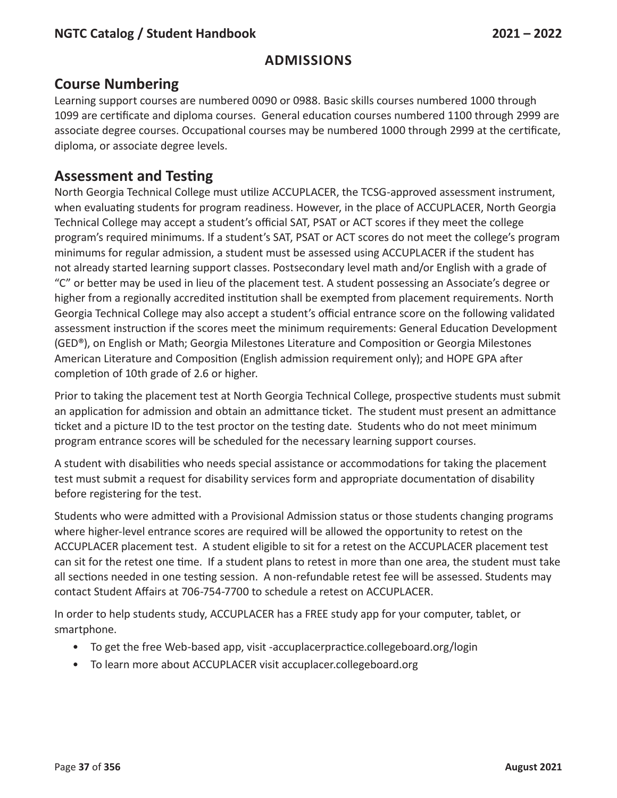### **Course Numbering**

Learning support courses are numbered 0090 or 0988. Basic skills courses numbered 1000 through 1099 are certificate and diploma courses. General education courses numbered 1100 through 2999 are associate degree courses. Occupational courses may be numbered 1000 through 2999 at the certificate, diploma, or associate degree levels.

### **Assessment and Testing**

North Georgia Technical College must utilize ACCUPLACER, the TCSG-approved assessment instrument, when evaluating students for program readiness. However, in the place of ACCUPLACER, North Georgia Technical College may accept a student's official SAT, PSAT or ACT scores if they meet the college program's required minimums. If a student's SAT, PSAT or ACT scores do not meet the college's program minimums for regular admission, a student must be assessed using ACCUPLACER if the student has not already started learning support classes. Postsecondary level math and/or English with a grade of "C" or better may be used in lieu of the placement test. A student possessing an Associate's degree or higher from a regionally accredited institution shall be exempted from placement requirements. North Georgia Technical College may also accept a student's official entrance score on the following validated assessment instruction if the scores meet the minimum requirements: General Education Development (GED®), on English or Math; Georgia Milestones Literature and Composition or Georgia Milestones American Literature and Composition (English admission requirement only); and HOPE GPA after completion of 10th grade of 2.6 or higher.

Prior to taking the placement test at North Georgia Technical College, prospective students must submit an application for admission and obtain an admittance ticket. The student must present an admittance ticket and a picture ID to the test proctor on the testing date. Students who do not meet minimum program entrance scores will be scheduled for the necessary learning support courses.

A student with disabilities who needs special assistance or accommodations for taking the placement test must submit a request for disability services form and appropriate documentation of disability before registering for the test.

Students who were admitted with a Provisional Admission status or those students changing programs where higher-level entrance scores are required will be allowed the opportunity to retest on the ACCUPLACER placement test. A student eligible to sit for a retest on the ACCUPLACER placement test can sit for the retest one time. If a student plans to retest in more than one area, the student must take all sections needed in one testing session. A non-refundable retest fee will be assessed. Students may contact Student Affairs at 706-754-7700 to schedule a retest on ACCUPLACER.

In order to help students study, ACCUPLACER has a FREE study app for your computer, tablet, or smartphone.

- To get the free Web-based app, visit -accuplacerpractice.collegeboard.org/login
- To learn more about ACCUPLACER visit accuplacer.collegeboard.org